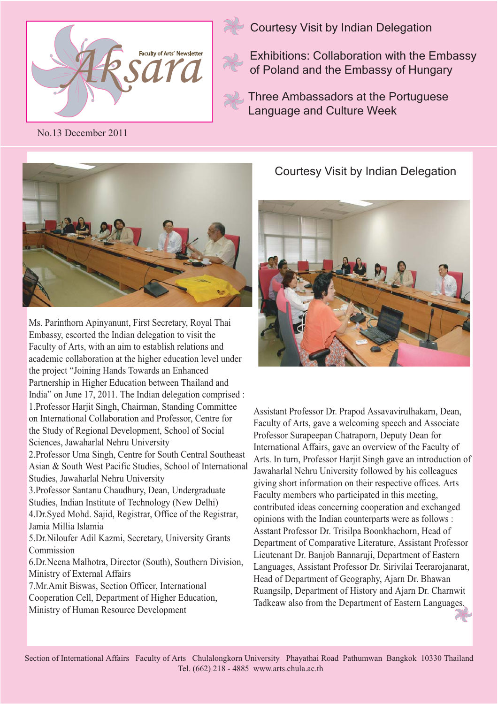



Courtesy Visit by Indian Delegation

Exhibitions: Collaboration with the Embassy of Poland and the Embassy of Hungary

Three Ambassadors at the Portuguese Language and Culture Week

No.13 December 2011



Ms. Parinthorn Apinyanunt, First Secretary, Royal Thai Embassy, escorted the Indian delegation to visit the Faculty of Arts, with an aim to establish relations and academic collaboration at the higher education level under the project "Joining Hands Towards an Enhanced Partnership in Higher Education between Thailand and India" on June 17, 2011. The Indian delegation comprised : 1.Professor Harjit Singh, Chairman, Standing Committee on International Collaboration and Professor, Centre for the Study of Regional Development, School of Social Sciences, Jawaharlal Nehru University

2.Professor Uma Singh, Centre for South Central Southeast Asian & South West Pacific Studies, School of International Studies, Jawaharlal Nehru University

3.Professor Santanu Chaudhury, Dean, Undergraduate Studies, Indian Institute of Technology (New Delhi) 4.Dr.Syed Mohd. Sajid, Registrar, Office of the Registrar, Jamia Millia Islamia

5.Dr.Niloufer Adil Kazmi, Secretary, University Grants Commission

6.Dr.Neena Malhotra, Director (South), Southern Division, Ministry of External Affairs

7.Mr.Amit Biswas, Section Officer, International Cooperation Cell, Department of Higher Education, Ministry of Human Resource Development

Courtesy Visit by Indian Delegation



Assistant Professor Dr. Prapod Assavavirulhakarn, Dean, Faculty of Arts, gave a welcoming speech and Associate Professor Surapeepan Chatraporn, Deputy Dean for International Affairs, gave an overview of the Faculty of Arts. In turn, Professor Harjit Singh gave an introduction of Jawaharlal Nehru University followed by his colleagues giving short information on their respective offices. Arts Faculty members who participated in this meeting, contributed ideas concerning cooperation and exchanged opinions with the Indian counterparts were as follows : Asstant Professor Dr. Trisilpa Boonkhachorn, Head of Department of Comparative Literature, Assistant Professor Lieutenant Dr. Banjob Bannaruji, Department of Eastern Languages, Assistant Professor Dr. Sirivilai Teerarojanarat, Head of Department of Geography, Ajarn Dr. Bhawan Ruangsilp, Department of History and Ajarn Dr. Charnwit Tadkeaw also from the Department of Eastern Languages.

Section of International Affairs Faculty of Arts Chulalongkorn University Phayathai Road Pathumwan Bangkok 10330 Thailand Tel. (662) 218 - 4885 www.arts.chula.ac.th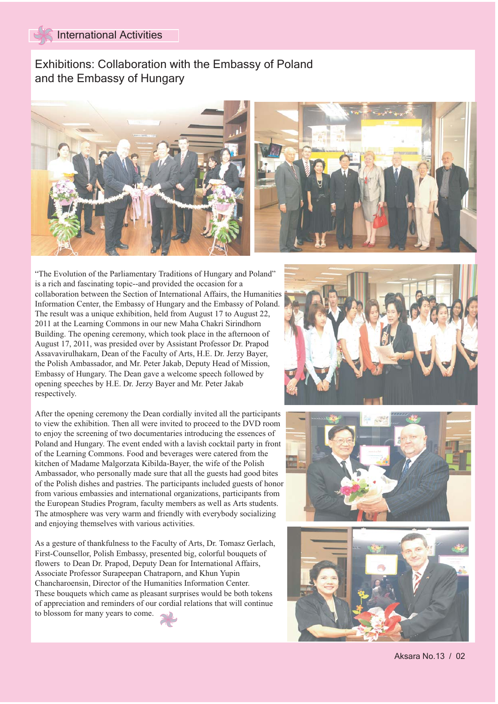## Exhibitions: Collaboration with the Embassy of Poland and the Embassy of Hungary





"The Evolution of the Parliamentary Traditions of Hungary and Poland" is a rich and fascinating topic--and provided the occasion for a collaboration between the Section of International Affairs, the Humanities Information Center, the Embassy of Hungary and the Embassy of Poland. The result was a unique exhibition, held from August 17 to August 22, 2011 at the Learning Commons in our new Maha Chakri Sirindhorn Building. The opening ceremony, which took place in the afternoon of August 17, 2011, was presided over by Assistant Professor Dr. Prapod Assavavirulhakarn, Dean of the Faculty of Arts, H.E. Dr. Jerzy Bayer, the Polish Ambassador, and Mr. Peter Jakab, Deputy Head of Mission, Embassy of Hungary. The Dean gave a welcome speech followed by opening speeches by H.E. Dr. Jerzy Bayer and Mr. Peter Jakab respectively.

After the opening ceremony the Dean cordially invited all the participants to view the exhibition. Then all were invited to proceed to the DVD room to enjoy the screening of two documentaries introducing the essences of Poland and Hungary. The event ended with a lavish cocktail party in front of the Learning Commons. Food and beverages were catered from the kitchen of Madame Malgorzata Kibilda-Bayer, the wife of the Polish Ambassador, who personally made sure that all the guests had good bites of the Polish dishes and pastries. The participants included guests of honor from various embassies and international organizations, participants from the European Studies Program, faculty members as well as Arts students. The atmosphere was very warm and friendly with everybody socializing and enjoying themselves with various activities.

As a gesture of thankfulness to the Faculty of Arts, Dr. Tomasz Gerlach, First-Counsellor, Polish Embassy, presented big, colorful bouquets of flowers to Dean Dr. Prapod, Deputy Dean for International Affairs, Associate Professor Surapeepan Chatraporn, and Khun Yupin Chancharoensin, Director of the Humanities Information Center. These bouquets which came as pleasant surprises would be both tokens of appreciation and reminders of our cordial relations that will continue to blossom for many years to come.





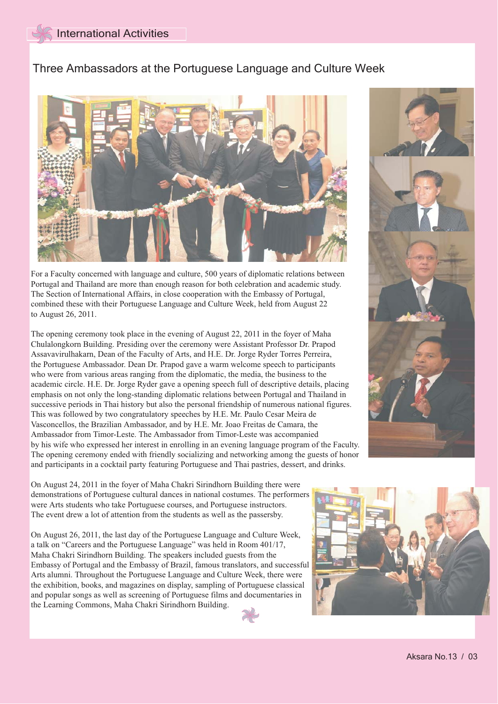## Three Ambassadors at the Portuguese Language and Culture Week



For a Faculty concerned with language and culture, 500 years of diplomatic relations between Portugal and Thailand are more than enough reason for both celebration and academic study. The Section of International Affairs, in close cooperation with the Embassy of Portugal, combined these with their Portuguese Language and Culture Week, held from August 22 to August 26, 2011.

The opening ceremony took place in the evening of August 22, 2011 in the foyer of Maha Chulalongkorn Building. Presiding over the ceremony were Assistant Professor Dr. Prapod Assavavirulhakarn, Dean of the Faculty of Arts, and H.E. Dr. Jorge Ryder Torres Perreira, the Portuguese Ambassador. Dean Dr. Prapod gave a warm welcome speech to participants who were from various areas ranging from the diplomatic, the media, the business to the academic circle. H.E. Dr. Jorge Ryder gave a opening speech full of descriptive details, placing emphasis on not only the long-standing diplomatic relations between Portugal and Thailand in successive periods in Thai history but also the personal friendship of numerous national figures. This was followed by two congratulatory speeches by H.E. Mr. Paulo Cesar Meira de Vasconcellos, the Brazilian Ambassador, and by H.E. Mr. Joao Freitas de Camara, the Ambassador from Timor-Leste. The Ambassador from Timor-Leste was accompanied by his wife who expressed her interest in enrolling in an evening language program of the Faculty. The opening ceremony ended with friendly socializing and networking among the guests of honor and participants in a cocktail party featuring Portuguese and Thai pastries, dessert, and drinks.



On August 24, 2011 in the foyer of Maha Chakri Sirindhorn Building there were demonstrations of Portuguese cultural dances in national costumes. The performers were Arts students who take Portuguese courses, and Portuguese instructors. The event drew a lot of attention from the students as well as the passersby.

On August 26, 2011, the last day of the Portuguese Language and Culture Week, a talk on "Careers and the Portuguese Language" was held in Room 401/17, Maha Chakri Sirindhorn Building. The speakers included guests from the Embassy of Portugal and the Embassy of Brazil, famous translators, and successful Arts alumni. Throughout the Portuguese Language and Culture Week, there were the exhibition, books, and magazines on display, sampling of Portuguese classical and popular songs as well as screening of Portuguese films and documentaries in the Learning Commons, Maha Chakri Sirindhorn Building.